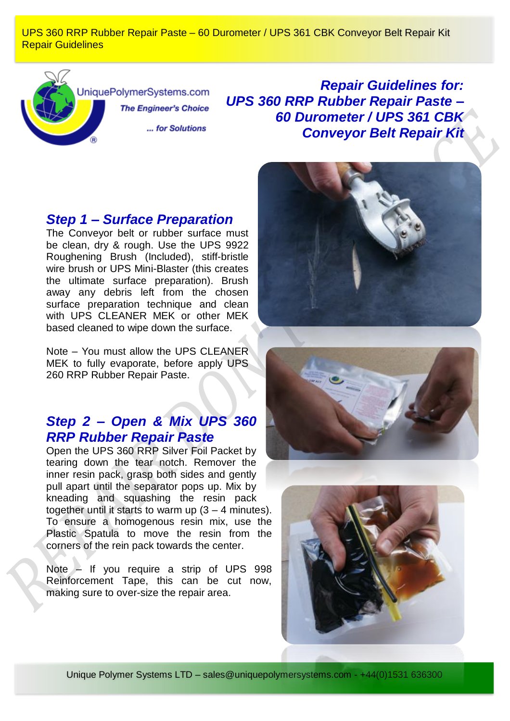UPS 360 RRP Rubber Repair Paste – 60 Durometer / UPS 361 CBK Conveyor Belt Repair Kit Repair Guidelines



JniquePolymerSystems.com **The Engineer's Choice** 

... for Solutions

*Repair Guidelines for: UPS 360 RRP Rubber Repair Paste – 60 Durometer / UPS 361 CBK Conveyor Belt Repair Kit*

## *Step 1 – Surface Preparation*

The Conveyor belt or rubber surface must be clean, dry & rough. Use the UPS 9922 Roughening Brush (Included), stiff-bristle wire brush or UPS Mini-Blaster (this creates the ultimate surface preparation). Brush away any debris left from the chosen surface preparation technique and clean with UPS CLEANER MEK or other MEK based cleaned to wipe down the surface.

Note – You must allow the UPS CLEANER MEK to fully evaporate, before apply UPS 260 RRP Rubber Repair Paste.

## *Step 2 – Open & Mix UPS 360 RRP Rubber Repair Paste*

Open the UPS 360 RRP Silver Foil Packet by tearing down the tear notch. Remover the inner resin pack, grasp both sides and gently pull apart until the separator pops up. Mix by kneading and squashing the resin pack together until it starts to warm up  $(3 - 4 \text{ minutes})$ . To ensure a homogenous resin mix, use the Plastic Spatula to move the resin from the corners of the rein pack towards the center.

Note – If you require a strip of UPS 998 Reinforcement Tape, this can be cut now, making sure to over-size the repair area.







Unique Polymer Systems LTD – sales@uniquepolymersystems.com - +44(0)1531 636300